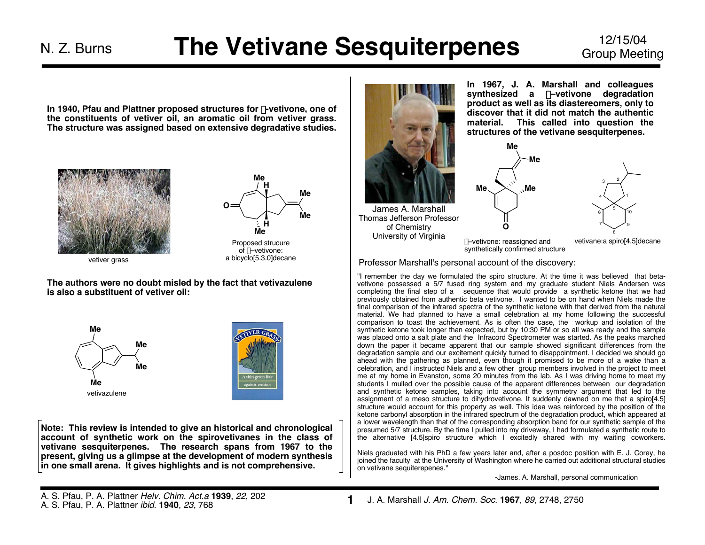**In 1940, Pfau and Plattner proposed structures for** b**-vetivone, one of the constituents of vetiver oil, an aromatic oil from vetiver grass. The structure was assigned based on extensive degradative studies.**





a bicyclo[5.3.0]decane

vetiver grass

**The authors were no doubt misled by the fact that vetivazulene is also a substituent of vetiver oil:**





**Note: This review is intended to give an historical and chronological account of synthetic work on the spirovetivanes in the class of vetivane sesquiterpenes. The research spans from 1967 to the present, giving us a glimpse at the development of modern synthesis in one small arena. It gives highlights and is not comprehensive.**



**In 1967, J. A. Marshall and colleagues synthesized a** b**–vetivone degradation product as well as its diastereomers, only to discover that it did not match the authentic material. This called into question the structures of the vetivane sesquiterpenes.**





b–vetivone: reassigned and synthetically confirmed structure

**Me**

**Me**

vetivane:a spiro[4.5]decane

Professor Marshall's personal account of the discovery:

"I remember the day we formulated the spiro structure. At the time it was believed that betavetivone possessed a 5/7 fused ring system and my graduate student Niels Andersen was completing the final step of a sequence that would provide a synthetic ketone that we had previously obtained from authentic beta vetivone. I wanted to be on hand when Niels made the final comparison of the infrared spectra of the synthetic ketone with that derived from the natural material. We had planned to have a small celebration at my home following the successful comparison to toast the achievement. As is often the case, the workup and isolation of the synthetic ketone took longer than expected, but by 10:30 PM or so all was ready and the sample was placed onto a salt plate and the Infracord Spectrometer was started. As the peaks marched down the paper it became apparent that our sample showed significant differences from the degradation sample and our excitement quickly turned to disappointment. I decided we should go ahead with the gathering as planned, even though it promised to be more of a wake than a celebration, and I instructed Niels and a few other group members involved in the project to meet me at my home in Evanston, some 20 minutes from the lab. As I was driving home to meet my students I mulled over the possible cause of the apparent differences between our degradation and synthetic ketone samples, taking into account the symmetry argument that led to the assignment of a meso structure to dihydrovetivone. It suddenly dawned on me that a spiro[4.5] structure would account for this property as well. This idea was reinforced by the position of the ketone carbonyl absorption in the infrared spectrum of the degradation product, which appeared at a lower wavelength than that of the corresponding absorption band for our synthetic sample of the presumed 5/7 structure. By the time I pulled into my driveway, I had formulated a synthetic route to the alternative [4.5]spiro structure which I excitedly shared with my waiting coworkers.

Niels graduated with his PhD a few years later and, after a posdoc position with E. J. Corey, he joined the faculty at the University of Washington where he carried out additional structural studies on vetivane sequiterepenes."

-James. A. Marshall, personal communication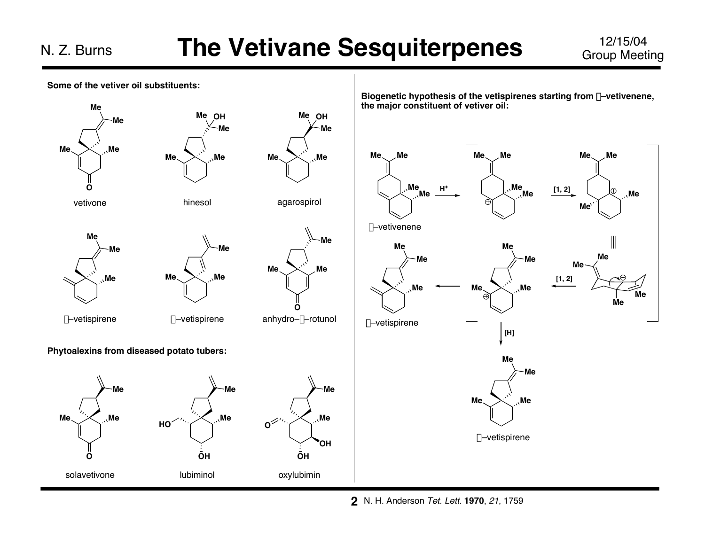Group Meeting



N. H. Anderson Tet. Lett. **1970**, 21, 1759 **2**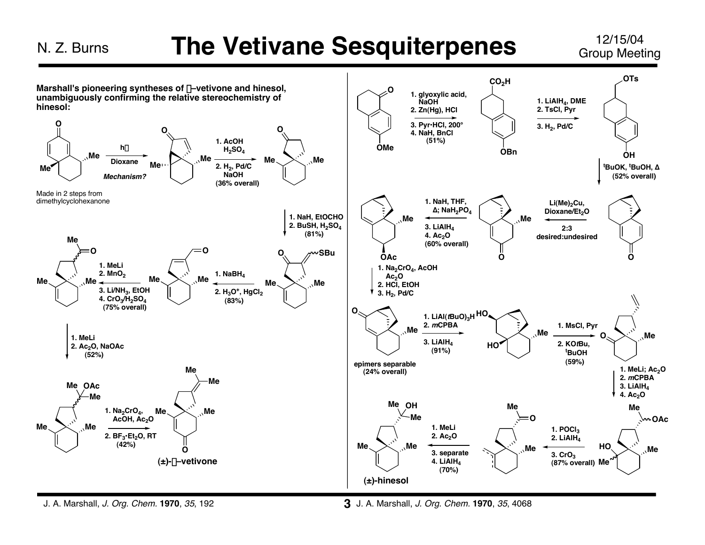Group Meeting



J. A. Marshall, J. Org. Chem. **1970**, 35, 192

J. A. Marshall, J. Org. Chem. **1970**, 35, 4068 **3**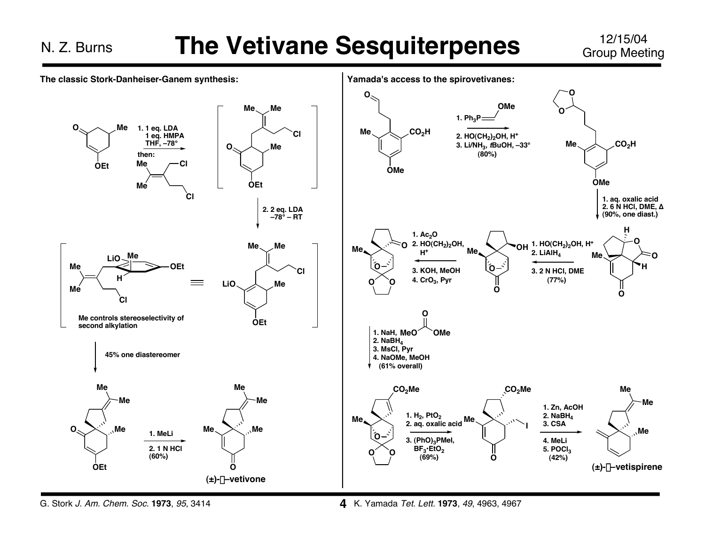Group Meeting



G. Stork J. Am. Chem. Soc. **1973**, 95, 3414

**4** K. Yamada Tet. Lett. **1973**, <sup>49</sup>, 4963, 4967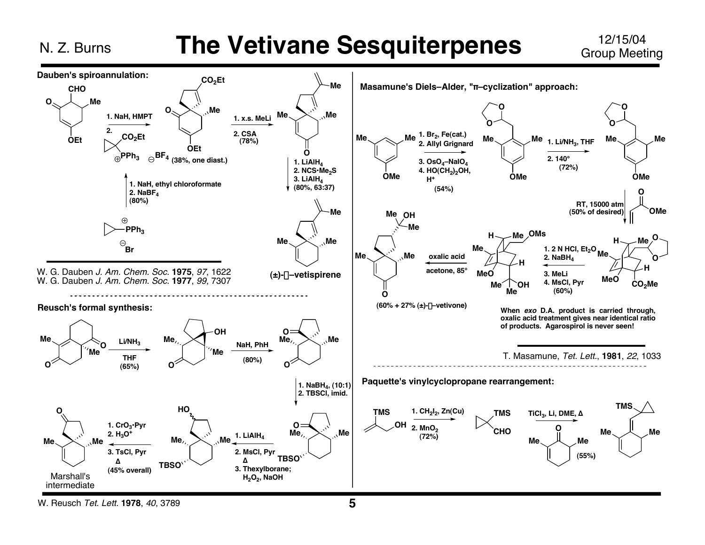### **The Vetivane Sesquiterpenes**

12/15/04 **Group Meeting** 



W. Reusch Tet. Lett. 1978, 40, 3789

N. Z. Burns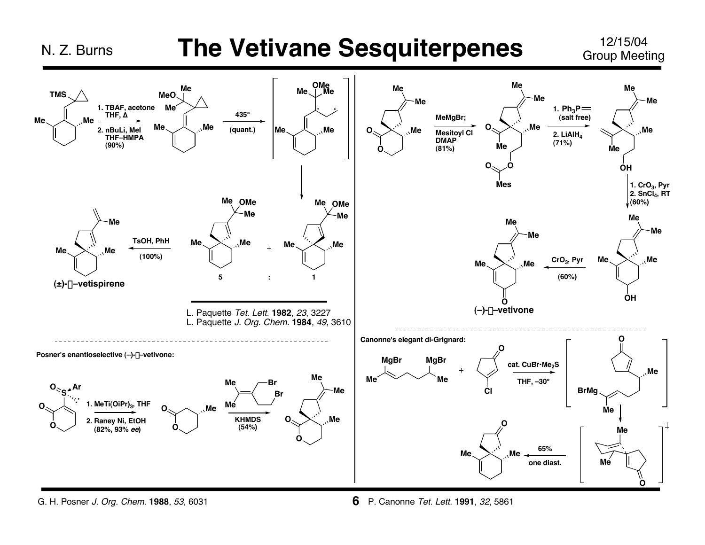### **The Vetivane Sesquiterpenes**

12/15/04 **Group Meeting** 



G. H. Posner J. Org. Chem. 1988, 53, 6031

N. Z. Burns

6 P. Canonne Tet. Lett. 1991, 32, 5861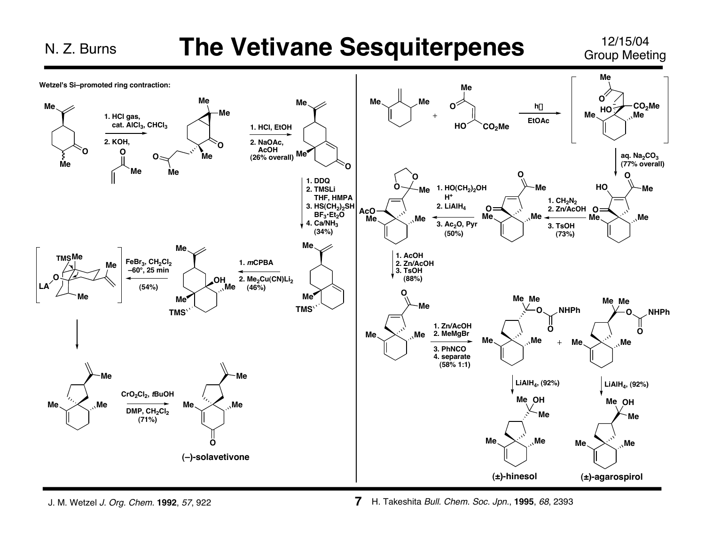# **The Vetivane Sesquiterpenes** 12/15/04

Group Meeting



J. M. Wetzel J. Org. Chem. **1992**, 57, 922

N. Z. Burns

H. Takeshita Bull. Chem. Soc. Jpn., **1995**, 68, 2393 **7**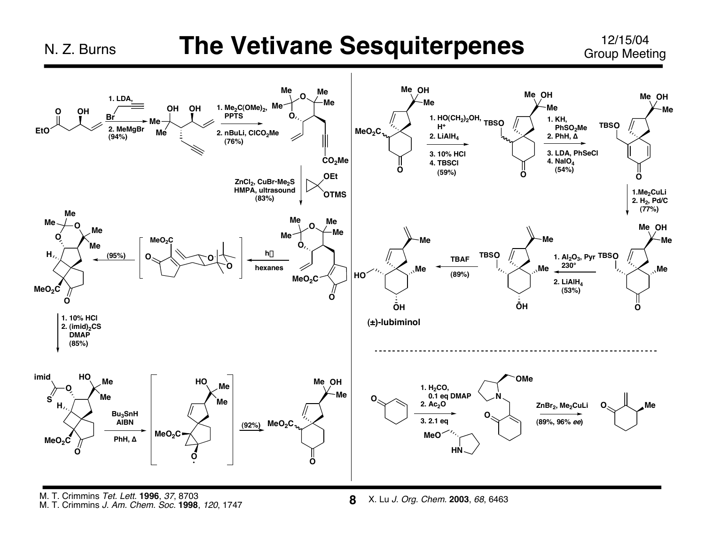N. Z. Burns

#### **The Vetivane Sesquiterpenes**

12/15/04 **Group Meeting** 



M. T. Crimmins Tet. Lett. 1996, 37, 8703 M. T. Crimmins J. Am. Chem. Soc. 1998, 120, 1747

X. Lu J. Org. Chem. 2003, 68, 6463 8